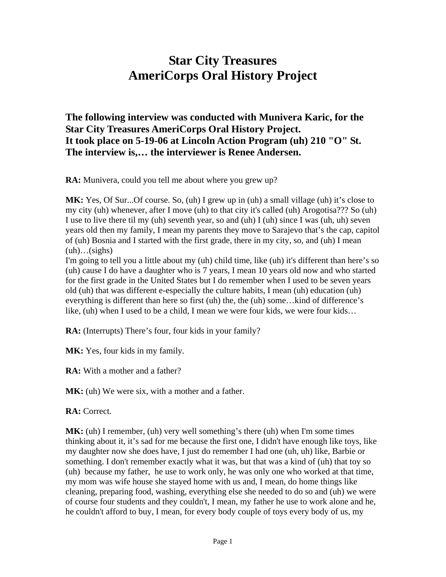## **Star City Treasures AmeriCorps Oral History Project**

**The following interview was conducted with Munivera Karic, for the Star City Treasures AmeriCorps Oral History Project. It took place on 5-19-06 at Lincoln Action Program (uh) 210 "O" St. The interview is,… the interviewer is Renee Andersen.** 

**RA:** Munivera, could you tell me about where you grew up?

MK: Yes, Of Sur...Of course. So, (uh) I grew up in (uh) a small village (uh) it's close to my city (uh) whenever, after I move (uh) to that city it's called (uh) Arogotisa??? So (uh) I use to live there til my (uh) seventh year, so and (uh) I (uh) since I was (uh, uh) seven years old then my family, I mean my parents they move to Sarajevo that's the cap, capitol of (uh) Bosnia and I started with the first grade, there in my city, so, and (uh) I mean  $(uh)...(signs)$ 

I'm going to tell you a little about my (uh) child time, like (uh) it's different than here's so (uh) cause I do have a daughter who is 7 years, I mean 10 years old now and who started for the first grade in the United States but I do remember when I used to be seven years old (uh) that was different e-especially the culture habits, I mean (uh) education (uh) everything is different than here so first (uh) the, the (uh) some…kind of difference's like, (uh) when I used to be a child, I mean we were four kids, we were four kids…

**RA:** (Interrupts) There's four, four kids in your family?

MK: Yes, four kids in my family.

**RA:** With a mother and a father?

**MK:** (uh) We were six, with a mother and a father.

**RA:** Correct.

**MK:** (uh) I remember, (uh) very well something's there (uh) when I'm some times thinking about it, it's sad for me because the first one, I didn't have enough like toys, like my daughter now she does have, I just do remember I had one (uh, uh) like, Barbie or something. I don't remember exactly what it was, but that was a kind of (uh) that toy so (uh) because my father, he use to work only, he was only one who worked at that time, my mom was wife house she stayed home with us and, I mean, do home things like cleaning, preparing food, washing, everything else she needed to do so and (uh) we were of course four students and they couldn't, I mean, my father he use to work alone and he, he couldn't afford to buy, I mean, for every body couple of toys every body of us, my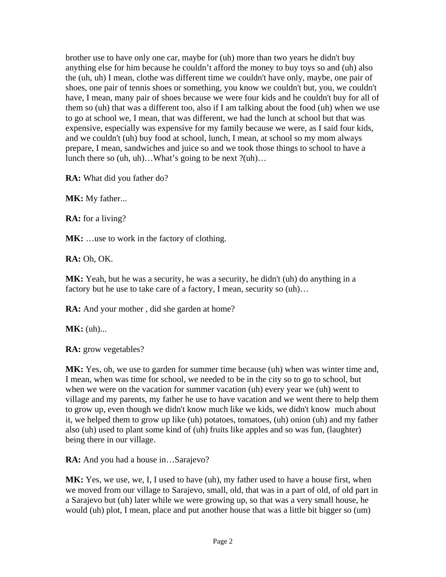brother use to have only one car, maybe for (uh) more than two years he didn't buy anything else for him because he couldn't afford the money to buy toys so and (uh) also the (uh, uh) I mean, clothe was different time we couldn't have only, maybe, one pair of shoes, one pair of tennis shoes or something, you know we couldn't but, you, we couldn't have, I mean, many pair of shoes because we were four kids and he couldn't buy for all of them so (uh) that was a different too, also if I am talking about the food (uh) when we use to go at school we, I mean, that was different, we had the lunch at school but that was expensive, especially was expensive for my family because we were, as I said four kids, and we couldn't (uh) buy food at school, lunch, I mean, at school so my mom always prepare, I mean, sandwiches and juice so and we took those things to school to have a lunch there so (uh, uh)…What's going to be next ?(uh)…

**RA:** What did you father do?

**MK:** My father...

**RA:** for a living?

MK: ...use to work in the factory of clothing.

**RA:** Oh, OK.

**MK:** Yeah, but he was a security, he was a security, he didn't (uh) do anything in a factory but he use to take care of a factory, I mean, security so  $(uh)$ ...

**RA:** And your mother, did she garden at home?

**MK**: (uh)...

**RA:** grow vegetables?

**MK:** Yes, oh, we use to garden for summer time because (uh) when was winter time and, I mean, when was time for school, we needed to be in the city so to go to school, but when we were on the vacation for summer vacation (uh) every year we (uh) went to village and my parents, my father he use to have vacation and we went there to help them to grow up, even though we didn't know much like we kids, we didn't know much about it, we helped them to grow up like (uh) potatoes, tomatoes, (uh) onion (uh) and my father also (uh) used to plant some kind of (uh) fruits like apples and so was fun, (laughter) being there in our village.

**RA:** And you had a house in...Sarajevo?

**MK:** Yes, we use, we, I, I used to have (uh), my father used to have a house first, when we moved from our village to Sarajevo, small, old, that was in a part of old, of old part in a Sarajevo but (uh) later while we were growing up, so that was a very small house, he would (uh) plot, I mean, place and put another house that was a little bit bigger so (um)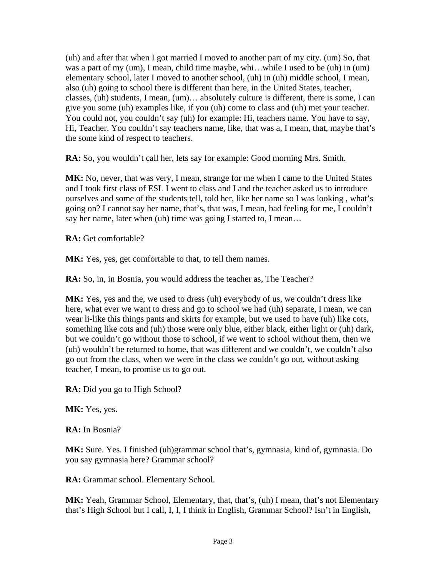(uh) and after that when I got married I moved to another part of my city. (um) So, that was a part of my (um), I mean, child time maybe, whi…while I used to be (uh) in (um) elementary school, later I moved to another school, (uh) in (uh) middle school, I mean, also (uh) going to school there is different than here, in the United States, teacher, classes, (uh) students, I mean, (um)… absolutely culture is different, there is some, I can give you some (uh) examples like, if you (uh) come to class and (uh) met your teacher. You could not, you couldn't say (uh) for example: Hi, teachers name. You have to say, Hi, Teacher. You couldn't say teachers name, like, that was a, I mean, that, maybe that's the some kind of respect to teachers.

**RA:** So, you wouldn't call her, lets say for example: Good morning Mrs. Smith.

**MK:** No, never, that was very, I mean, strange for me when I came to the United States and I took first class of ESL I went to class and I and the teacher asked us to introduce ourselves and some of the students tell, told her, like her name so I was looking , what's going on? I cannot say her name, that's, that was, I mean, bad feeling for me, I couldn't say her name, later when (uh) time was going I started to, I mean...

**RA:** Get comfortable?

**MK:** Yes, yes, get comfortable to that, to tell them names.

**RA:** So, in, in Bosnia, you would address the teacher as, The Teacher?

**MK:** Yes, yes and the, we used to dress (uh) everybody of us, we couldn't dress like here, what ever we want to dress and go to school we had (uh) separate, I mean, we can wear li-like this things pants and skirts for example, but we used to have (uh) like cots, something like cots and (uh) those were only blue, either black, either light or (uh) dark, but we couldn't go without those to school, if we went to school without them, then we (uh) wouldn't be returned to home, that was different and we couldn't, we couldn't also go out from the class, when we were in the class we couldn't go out, without asking teacher, I mean, to promise us to go out.

**RA:** Did you go to High School?

**MK:** Yes, yes.

**RA:** In Bosnia?

**MK:** Sure. Yes. I finished (uh)grammar school that's, gymnasia, kind of, gymnasia. Do you say gymnasia here? Grammar school?

RA: Grammar school. Elementary School.

**MK:** Yeah, Grammar School, Elementary, that, that's, (uh) I mean, that's not Elementary that's High School but I call, I, I, I think in English, Grammar School? Isn't in English,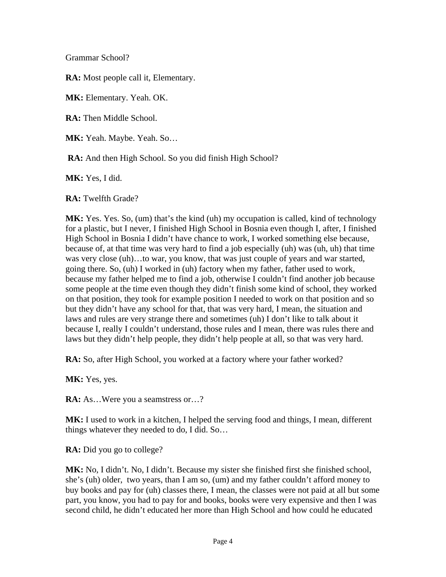Grammar School?

**RA:** Most people call it, Elementary.

**MK:** Elementary. Yeah. OK.

**RA:** Then Middle School.

**MK:** Yeah. Maybe. Yeah. So…

**RA:** And then High School. So you did finish High School?

**MK:** Yes, I did.

**RA:** Twelfth Grade?

**MK:** Yes. Yes. So, (um) that's the kind (uh) my occupation is called, kind of technology for a plastic, but I never, I finished High School in Bosnia even though I, after, I finished High School in Bosnia I didn't have chance to work, I worked something else because, because of, at that time was very hard to find a job especially (uh) was (uh, uh) that time was very close (uh)…to war, you know, that was just couple of years and war started, going there. So, (uh) I worked in (uh) factory when my father, father used to work, because my father helped me to find a job, otherwise I couldn't find another job because some people at the time even though they didn't finish some kind of school, they worked on that position, they took for example position I needed to work on that position and so but they didn't have any school for that, that was very hard, I mean, the situation and laws and rules are very strange there and sometimes (uh) I don't like to talk about it because I, really I couldn't understand, those rules and I mean, there was rules there and laws but they didn't help people, they didn't help people at all, so that was very hard.

**RA:** So, after High School, you worked at a factory where your father worked?

**MK:** Yes, yes.

**RA:** As...Were you a seamstress or...?

**MK:** I used to work in a kitchen, I helped the serving food and things, I mean, different things whatever they needed to do, I did. So…

**RA:** Did you go to college?

**MK:** No, I didn't. No, I didn't. Because my sister she finished first she finished school, she's (uh) older, two years, than I am so, (um) and my father couldn't afford money to buy books and pay for (uh) classes there, I mean, the classes were not paid at all but some part, you know, you had to pay for and books, books were very expensive and then I was second child, he didn't educated her more than High School and how could he educated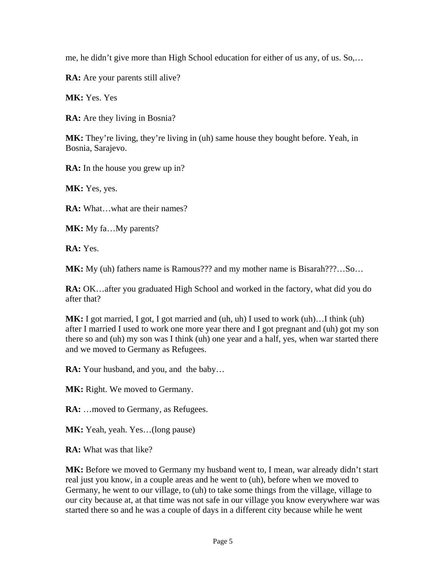me, he didn't give more than High School education for either of us any, of us. So,…

RA: Are your parents still alive?

**MK:** Yes. Yes

**RA:** Are they living in Bosnia?

**MK:** They're living, they're living in (uh) same house they bought before. Yeah, in Bosnia, Sarajevo.

**RA:** In the house you grew up in?

MK: Yes, yes.

**RA:** What…what are their names?

**MK:** My fa...My parents?

**RA:** Yes.

**MK:** My (uh) fathers name is Ramous??? and my mother name is Bisarah???…So…

**RA:** OK...after you graduated High School and worked in the factory, what did you do after that?

**MK:** I got married, I got, I got married and (uh, uh) I used to work (uh)…I think (uh) after I married I used to work one more year there and I got pregnant and (uh) got my son there so and (uh) my son was I think (uh) one year and a half, yes, when war started there and we moved to Germany as Refugees.

**RA:** Your husband, and you, and the baby…

MK: Right. We moved to Germany.

**RA:** ... moved to Germany, as Refugees.

**MK:** Yeah, yeah. Yes...(long pause)

**RA:** What was that like?

MK: Before we moved to Germany my husband went to, I mean, war already didn't start real just you know, in a couple areas and he went to (uh), before when we moved to Germany, he went to our village, to (uh) to take some things from the village, village to our city because at, at that time was not safe in our village you know everywhere war was started there so and he was a couple of days in a different city because while he went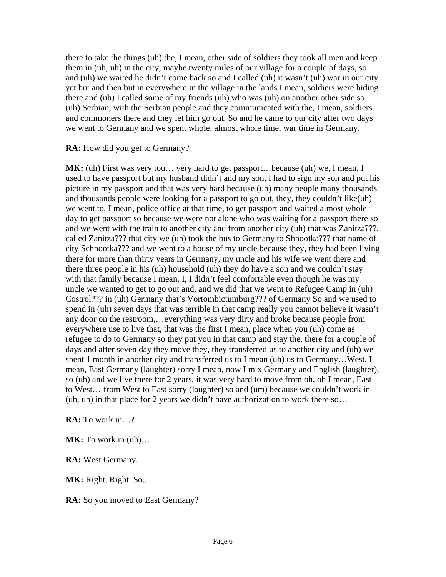there to take the things (uh) the, I mean, other side of soldiers they took all men and keep them in (uh, uh) in the city, maybe twenty miles of our village for a couple of days, so and (uh) we waited he didn't come back so and I called (uh) it wasn't (uh) war in our city yet but and then but in everywhere in the village in the lands I mean, soldiers were hiding there and (uh) I called some of my friends (uh) who was (uh) on another other side so (uh) Serbian, with the Serbian people and they communicated with the, I mean, soldiers and commoners there and they let him go out. So and he came to our city after two days we went to Germany and we spent whole, almost whole time, war time in Germany.

**RA:** How did you get to Germany?

**MK:** (uh) First was very tou... very hard to get passport...because (uh) we, I mean, I used to have passport but my husband didn't and my son, I had to sign my son and put his picture in my passport and that was very hard because (uh) many people many thousands and thousands people were looking for a passport to go out, they, they couldn't like(uh) we went to, I mean, police office at that time, to get passport and waited almost whole day to get passport so because we were not alone who was waiting for a passport there so and we went with the train to another city and from another city (uh) that was Zanitza???, called Zanitza??? that city we (uh) took the bus to Germany to Shnootka??? that name of city Schnootka??? and we went to a house of my uncle because they, they had been living there for more than thirty years in Germany, my uncle and his wife we went there and there three people in his (uh) household (uh) they do have a son and we couldn't stay with that family because I mean, I, I didn't feel comfortable even though he was my uncle we wanted to get to go out and, and we did that we went to Refugee Camp in (uh) Costrol??? in (uh) Germany that's Vortombictumburg??? of Germany So and we used to spend in (uh) seven days that was terrible in that camp really you cannot believe it wasn't any door on the restroom,…everything was very dirty and broke because people from everywhere use to live that, that was the first I mean, place when you (uh) come as refugee to do to Germany so they put you in that camp and stay the, there for a couple of days and after seven day they move they, they transferred us to another city and (uh) we spent 1 month in another city and transferred us to I mean (uh) us to Germany...West, I mean, East Germany (laughter) sorry I mean, now I mix Germany and English (laughter), so (uh) and we live there for 2 years, it was very hard to move from oh, oh I mean, East to West… from West to East sorry (laughter) so and (um) because we couldn't work in (uh, uh) in that place for 2 years we didn't have authorization to work there so…

**RA:** To work in…?

**MK:** To work in (uh)…

**RA:** West Germany.

**MK:** Right. Right. So..

**RA:** So you moved to East Germany?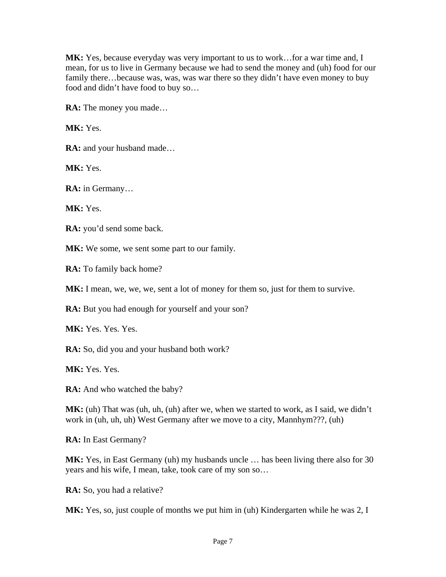**MK:** Yes, because everyday was very important to us to work…for a war time and, I mean, for us to live in Germany because we had to send the money and (uh) food for our family there...because was, was, was war there so they didn't have even money to buy food and didn't have food to buy so…

**RA:** The money you made…

**MK:** Yes.

RA: and your husband made...

**MK:** Yes.

**RA:** in Germany…

**MK: Yes.** 

**RA:** you'd send some back.

MK: We some, we sent some part to our family.

**RA:** To family back home?

MK: I mean, we, we, we, sent a lot of money for them so, just for them to survive.

**RA:** But you had enough for yourself and your son?

MK: Yes. Yes. Yes.

**RA:** So, did you and your husband both work?

**MK:** Yes. Yes.

**RA:** And who watched the baby?

**MK:** (uh) That was (uh, uh, (uh) after we, when we started to work, as I said, we didn't work in (uh, uh, uh) West Germany after we move to a city, Mannhym???, (uh)

**RA:** In East Germany?

**MK:** Yes, in East Germany (uh) my husbands uncle … has been living there also for 30 years and his wife, I mean, take, took care of my son so…

**RA:** So, you had a relative?

MK: Yes, so, just couple of months we put him in (uh) Kindergarten while he was 2, I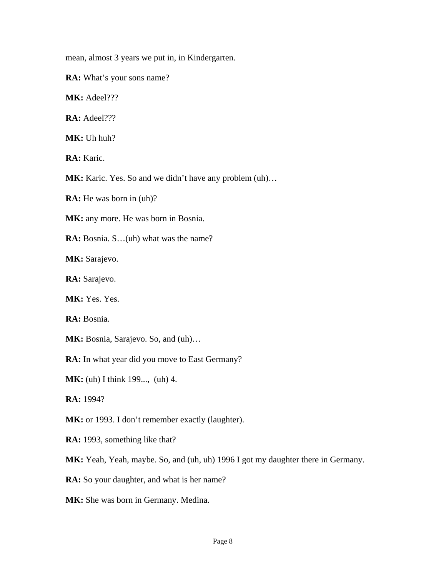mean, almost 3 years we put in, in Kindergarten.

**RA:** What's your sons name?

**MK:** Adeel???

**RA:** Adeel???

**MK:** Uh huh?

**RA:** Karic.

**MK:** Karic. Yes. So and we didn't have any problem  $(uh)$ ...

**RA:** He was born in (uh)?

MK: any more. He was born in Bosnia.

**RA:** Bosnia. S...(uh) what was the name?

**MK:** Sarajevo.

**RA:** Sarajevo.

**MK:** Yes. Yes.

**RA:** Bosnia.

**MK:** Bosnia, Sarajevo. So, and (uh)…

**RA:** In what year did you move to East Germany?

**MK:** (uh) I think 199..., (uh) 4.

**RA:** 1994?

MK: or 1993. I don't remember exactly (laughter).

**RA:** 1993, something like that?

**MK:** Yeah, Yeah, maybe. So, and (uh, uh) 1996 I got my daughter there in Germany.

**RA:** So your daughter, and what is her name?

**MK:** She was born in Germany. Medina.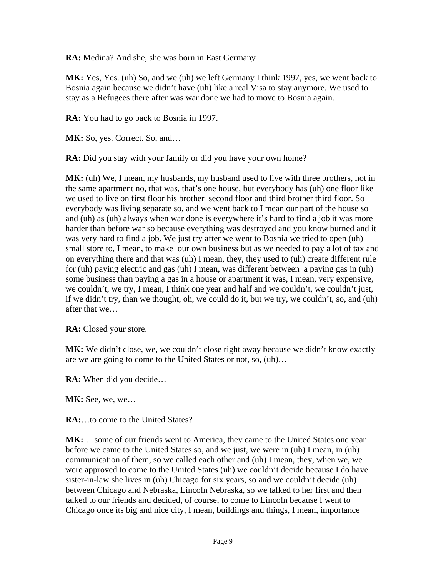**RA:** Medina? And she, she was born in East Germany

**MK:** Yes, Yes. (uh) So, and we (uh) we left Germany I think 1997, yes, we went back to Bosnia again because we didn't have (uh) like a real Visa to stay anymore. We used to stay as a Refugees there after was war done we had to move to Bosnia again.

**RA:** You had to go back to Bosnia in 1997.

**MK:** So, yes. Correct. So, and...

**RA:** Did you stay with your family or did you have your own home?

**MK:** (uh) We, I mean, my husbands, my husband used to live with three brothers, not in the same apartment no, that was, that's one house, but everybody has (uh) one floor like we used to live on first floor his brother second floor and third brother third floor. So everybody was living separate so, and we went back to I mean our part of the house so and (uh) as (uh) always when war done is everywhere it's hard to find a job it was more harder than before war so because everything was destroyed and you know burned and it was very hard to find a job. We just try after we went to Bosnia we tried to open (uh) small store to, I mean, to make our own business but as we needed to pay a lot of tax and on everything there and that was (uh) I mean, they, they used to (uh) create different rule for (uh) paying electric and gas (uh) I mean, was different between a paying gas in (uh) some business than paying a gas in a house or apartment it was, I mean, very expensive, we couldn't, we try, I mean, I think one year and half and we couldn't, we couldn't just, if we didn't try, than we thought, oh, we could do it, but we try, we couldn't, so, and (uh) after that we…

**RA:** Closed your store.

MK: We didn't close, we, we couldn't close right away because we didn't know exactly are we are going to come to the United States or not, so, (uh)…

**RA:** When did you decide…

**MK:** See, we, we...

**RA:**…to come to the United States?

**MK:** …some of our friends went to America, they came to the United States one year before we came to the United States so, and we just, we were in (uh) I mean, in (uh) communication of them, so we called each other and (uh) I mean, they, when we, we were approved to come to the United States (uh) we couldn't decide because I do have sister-in-law she lives in (uh) Chicago for six years, so and we couldn't decide (uh) between Chicago and Nebraska, Lincoln Nebraska, so we talked to her first and then talked to our friends and decided, of course, to come to Lincoln because I went to Chicago once its big and nice city, I mean, buildings and things, I mean, importance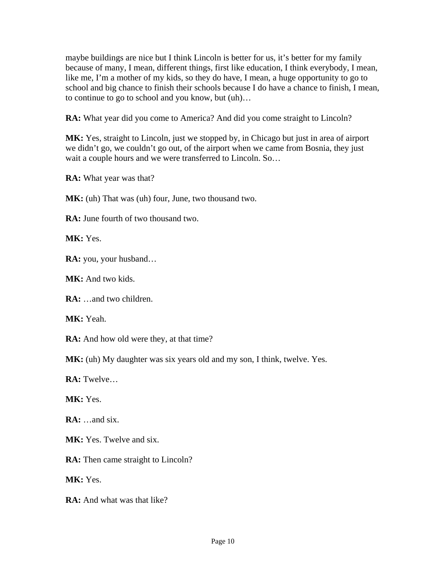maybe buildings are nice but I think Lincoln is better for us, it's better for my family because of many, I mean, different things, first like education, I think everybody, I mean, like me, I'm a mother of my kids, so they do have, I mean, a huge opportunity to go to school and big chance to finish their schools because I do have a chance to finish, I mean, to continue to go to school and you know, but (uh)…

**RA:** What year did you come to America? And did you come straight to Lincoln?

MK: Yes, straight to Lincoln, just we stopped by, in Chicago but just in area of airport we didn't go, we couldn't go out, of the airport when we came from Bosnia, they just wait a couple hours and we were transferred to Lincoln. So…

**RA:** What year was that?

**MK:** (uh) That was (uh) four, June, two thousand two.

**RA:** June fourth of two thousand two.

**MK:** Yes.

**RA:** you, your husband…

**MK:** And two kids.

**RA:** …and two children.

**MK:** Yeah.

**RA:** And how old were they, at that time?

**MK:** (uh) My daughter was six years old and my son, I think, twelve. Yes.

**RA:** Twelve…

**MK:** Yes.

**RA:** …and six.

**MK:** Yes. Twelve and six.

**RA:** Then came straight to Lincoln?

**MK:** Yes.

**RA:** And what was that like?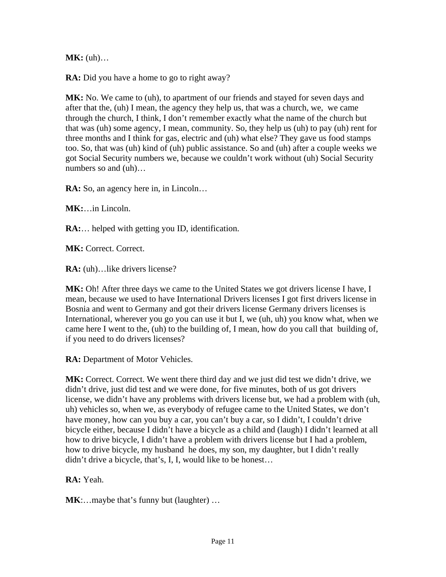**MK:** (uh)...

**RA:** Did you have a home to go to right away?

**MK:** No. We came to (uh), to apartment of our friends and stayed for seven days and after that the, (uh) I mean, the agency they help us, that was a church, we, we came through the church, I think, I don't remember exactly what the name of the church but that was (uh) some agency, I mean, community. So, they help us (uh) to pay (uh) rent for three months and I think for gas, electric and (uh) what else? They gave us food stamps too. So, that was (uh) kind of (uh) public assistance. So and (uh) after a couple weeks we got Social Security numbers we, because we couldn't work without (uh) Social Security numbers so and (uh)…

**RA:** So, an agency here in, in Lincoln…

**MK:**…in Lincoln.

**RA:**… helped with getting you ID, identification.

**MK:** Correct. Correct.

**RA:** (uh)... like drivers license?

**MK:** Oh! After three days we came to the United States we got drivers license I have, I mean, because we used to have International Drivers licenses I got first drivers license in Bosnia and went to Germany and got their drivers license Germany drivers licenses is International, wherever you go you can use it but I, we (uh, uh) you know what, when we came here I went to the, (uh) to the building of, I mean, how do you call that building of, if you need to do drivers licenses?

**RA:** Department of Motor Vehicles.

**MK:** Correct. Correct. We went there third day and we just did test we didn't drive, we didn't drive, just did test and we were done, for five minutes, both of us got drivers license, we didn't have any problems with drivers license but, we had a problem with (uh, uh) vehicles so, when we, as everybody of refugee came to the United States, we don't have money, how can you buy a car, you can't buy a car, so I didn't, I couldn't drive bicycle either, because I didn't have a bicycle as a child and (laugh) I didn't learned at all how to drive bicycle, I didn't have a problem with drivers license but I had a problem, how to drive bicycle, my husband he does, my son, my daughter, but I didn't really didn't drive a bicycle, that's, I, I, would like to be honest…

**RA:** Yeah.

**MK**:…maybe that's funny but (laughter) …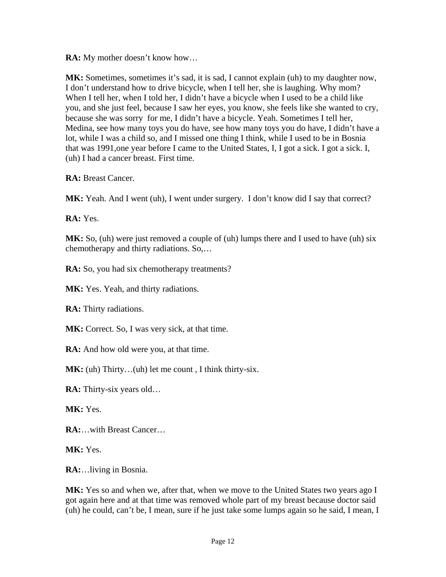**RA:** My mother doesn't know how…

**MK:** Sometimes, sometimes it's sad, it is sad, I cannot explain (uh) to my daughter now, I don't understand how to drive bicycle, when I tell her, she is laughing. Why mom? When I tell her, when I told her, I didn't have a bicycle when I used to be a child like you, and she just feel, because I saw her eyes, you know, she feels like she wanted to cry, because she was sorry for me, I didn't have a bicycle. Yeah. Sometimes I tell her, Medina, see how many toys you do have, see how many toys you do have, I didn't have a lot, while I was a child so, and I missed one thing I think, while I used to be in Bosnia that was 1991,one year before I came to the United States, I, I got a sick. I got a sick. I, (uh) I had a cancer breast. First time.

**RA:** Breast Cancer.

**MK:** Yeah. And I went (uh), I went under surgery. I don't know did I say that correct?

**RA:** Yes.

**MK:** So, (uh) were just removed a couple of (uh) lumps there and I used to have (uh) six chemotherapy and thirty radiations. So,…

**RA:** So, you had six chemotherapy treatments?

MK: Yes. Yeah, and thirty radiations.

**RA:** Thirty radiations.

MK: Correct. So, I was very sick, at that time.

**RA:** And how old were you, at that time.

**MK:** (uh) Thirty...(uh) let me count, I think thirty-six.

**RA:** Thirty-six years old…

**MK:** Yes.

**RA:**…with Breast Cancer…

**MK: Yes.** 

**RA:**…living in Bosnia.

**MK:** Yes so and when we, after that, when we move to the United States two years ago I got again here and at that time was removed whole part of my breast because doctor said (uh) he could, can't be, I mean, sure if he just take some lumps again so he said, I mean, I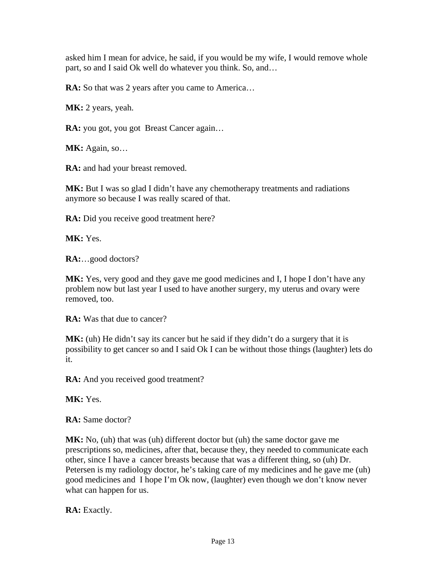asked him I mean for advice, he said, if you would be my wife, I would remove whole part, so and I said Ok well do whatever you think. So, and…

**RA:** So that was 2 years after you came to America...

MK: 2 years, yeah.

**RA:** you got, you got Breast Cancer again…

**MK:** Again, so…

**RA:** and had your breast removed.

MK: But I was so glad I didn't have any chemotherapy treatments and radiations anymore so because I was really scared of that.

**RA:** Did you receive good treatment here?

**MK:** Yes.

**RA:**…good doctors?

**MK:** Yes, very good and they gave me good medicines and I, I hope I don't have any problem now but last year I used to have another surgery, my uterus and ovary were removed, too.

**RA:** Was that due to cancer?

MK: (uh) He didn't say its cancer but he said if they didn't do a surgery that it is possibility to get cancer so and I said Ok I can be without those things (laughter) lets do it.

**RA:** And you received good treatment?

**MK:** Yes.

**RA:** Same doctor?

**MK:** No, (uh) that was (uh) different doctor but (uh) the same doctor gave me prescriptions so, medicines, after that, because they, they needed to communicate each other, since I have a cancer breasts because that was a different thing, so (uh) Dr. Petersen is my radiology doctor, he's taking care of my medicines and he gave me (uh) good medicines and I hope I'm Ok now, (laughter) even though we don't know never what can happen for us.

**RA:** Exactly.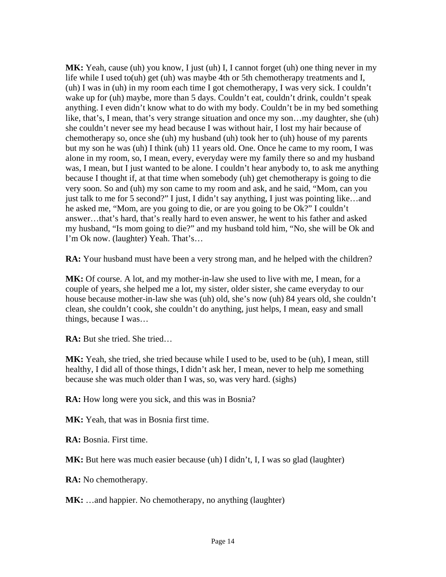MK: Yeah, cause (uh) you know, I just (uh) I, I cannot forget (uh) one thing never in my life while I used to(uh) get (uh) was maybe 4th or 5th chemotherapy treatments and I, (uh) I was in (uh) in my room each time I got chemotherapy, I was very sick. I couldn't wake up for (uh) maybe, more than 5 days. Couldn't eat, couldn't drink, couldn't speak anything. I even didn't know what to do with my body. Couldn't be in my bed something like, that's, I mean, that's very strange situation and once my son…my daughter, she (uh) she couldn't never see my head because I was without hair, I lost my hair because of chemotherapy so, once she (uh) my husband (uh) took her to (uh) house of my parents but my son he was (uh) I think (uh) 11 years old. One. Once he came to my room, I was alone in my room, so, I mean, every, everyday were my family there so and my husband was, I mean, but I just wanted to be alone. I couldn't hear anybody to, to ask me anything because I thought if, at that time when somebody (uh) get chemotherapy is going to die very soon. So and (uh) my son came to my room and ask, and he said, "Mom, can you just talk to me for 5 second?" I just, I didn't say anything, I just was pointing like…and he asked me, "Mom, are you going to die, or are you going to be Ok?" I couldn't answer…that's hard, that's really hard to even answer, he went to his father and asked my husband, "Is mom going to die?" and my husband told him, "No, she will be Ok and I'm Ok now. (laughter) Yeah. That's…

**RA:** Your husband must have been a very strong man, and he helped with the children?

**MK:** Of course. A lot, and my mother-in-law she used to live with me, I mean, for a couple of years, she helped me a lot, my sister, older sister, she came everyday to our house because mother-in-law she was (uh) old, she's now (uh) 84 years old, she couldn't clean, she couldn't cook, she couldn't do anything, just helps, I mean, easy and small things, because I was…

**RA:** But she tried. She tried…

**MK:** Yeah, she tried, she tried because while I used to be, used to be (uh), I mean, still healthy, I did all of those things, I didn't ask her, I mean, never to help me something because she was much older than I was, so, was very hard. (sighs)

**RA:** How long were you sick, and this was in Bosnia?

**MK:** Yeah, that was in Bosnia first time.

**RA:** Bosnia. First time.

**MK:** But here was much easier because (uh) I didn't, I, I was so glad (laughter)

**RA:** No chemotherapy.

**MK:** …and happier. No chemotherapy, no anything (laughter)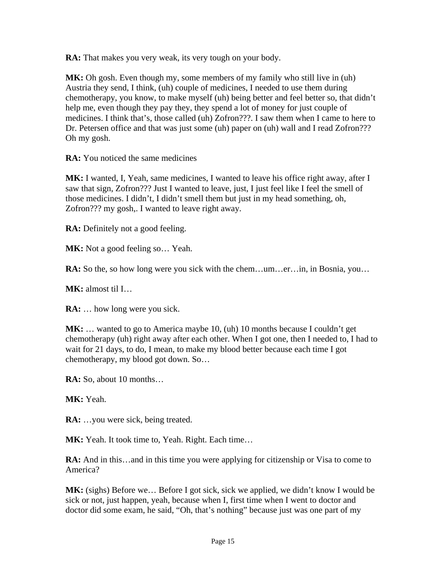**RA:** That makes you very weak, its very tough on your body.

**MK:** Oh gosh. Even though my, some members of my family who still live in (uh) Austria they send, I think, (uh) couple of medicines, I needed to use them during chemotherapy, you know, to make myself (uh) being better and feel better so, that didn't help me, even though they pay they, they spend a lot of money for just couple of medicines. I think that's, those called (uh) Zofron???. I saw them when I came to here to Dr. Petersen office and that was just some (uh) paper on (uh) wall and I read Zofron??? Oh my gosh.

**RA:** You noticed the same medicines

**MK:** I wanted, I, Yeah, same medicines, I wanted to leave his office right away, after I saw that sign, Zofron??? Just I wanted to leave, just, I just feel like I feel the smell of those medicines. I didn't, I didn't smell them but just in my head something, oh, Zofron??? my gosh,. I wanted to leave right away.

**RA:** Definitely not a good feeling.

**MK:** Not a good feeling so... Yeah.

**RA:** So the, so how long were you sick with the chem...um...er...in, in Bosnia, you...

**MK:** almost til I…

**RA:** ... how long were you sick.

MK: ... wanted to go to America maybe 10, (uh) 10 months because I couldn't get chemotherapy (uh) right away after each other. When I got one, then I needed to, I had to wait for 21 days, to do, I mean, to make my blood better because each time I got chemotherapy, my blood got down. So…

**RA:** So, about 10 months…

**MK:** Yeah.

**RA:** ...you were sick, being treated.

**MK:** Yeah. It took time to, Yeah. Right. Each time…

**RA:** And in this…and in this time you were applying for citizenship or Visa to come to America?

**MK:** (sighs) Before we… Before I got sick, sick we applied, we didn't know I would be sick or not, just happen, yeah, because when I, first time when I went to doctor and doctor did some exam, he said, "Oh, that's nothing" because just was one part of my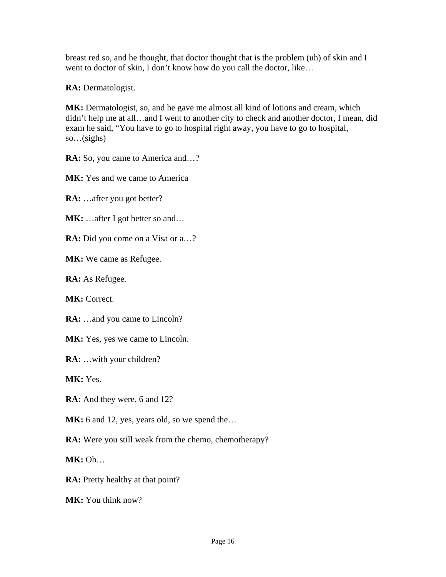breast red so, and he thought, that doctor thought that is the problem (uh) of skin and I went to doctor of skin, I don't know how do you call the doctor, like...

**RA:** Dermatologist.

MK: Dermatologist, so, and he gave me almost all kind of lotions and cream, which didn't help me at all…and I went to another city to check and another doctor, I mean, did exam he said, "You have to go to hospital right away, you have to go to hospital, so…(sighs)

**RA:** So, you came to America and…?

**MK:** Yes and we came to America

**RA:** …after you got better?

MK: ...after I got better so and...

**RA:** Did you come on a Visa or a...?

**MK:** We came as Refugee.

**RA:** As Refugee.

**MK:** Correct.

**RA:** ...and you came to Lincoln?

**MK:** Yes, yes we came to Lincoln.

**RA:** …with your children?

**MK:** Yes.

**RA:** And they were, 6 and 12?

MK: 6 and 12, yes, years old, so we spend the...

**RA:** Were you still weak from the chemo, chemotherapy?

**MK:** Oh…

**RA:** Pretty healthy at that point?

**MK:** You think now?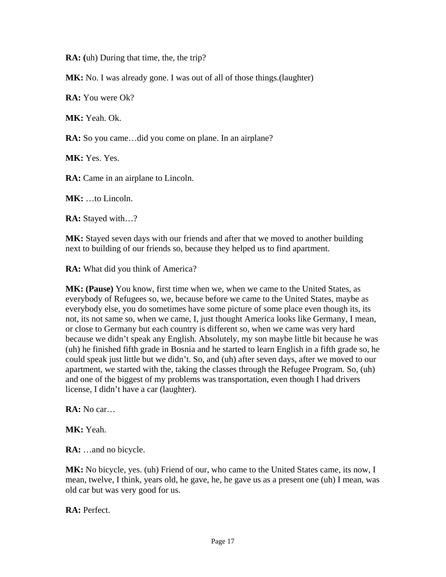**RA: (**uh) During that time, the, the trip?

**MK:** No. I was already gone. I was out of all of those things. (laughter)

**RA:** You were Ok?

**MK:** Yeah. Ok.

**RA:** So you came…did you come on plane. In an airplane?

MK: Yes. Yes.

**RA:** Came in an airplane to Lincoln.

**MK:** …to Lincoln.

**RA:** Stayed with…?

**MK:** Stayed seven days with our friends and after that we moved to another building next to building of our friends so, because they helped us to find apartment.

**RA:** What did you think of America?

**MK: (Pause)** You know, first time when we, when we came to the United States, as everybody of Refugees so, we, because before we came to the United States, maybe as everybody else, you do sometimes have some picture of some place even though its, its not, its not same so, when we came, I, just thought America looks like Germany, I mean, or close to Germany but each country is different so, when we came was very hard because we didn't speak any English. Absolutely, my son maybe little bit because he was (uh) he finished fifth grade in Bosnia and he started to learn English in a fifth grade so, he could speak just little but we didn't. So, and (uh) after seven days, after we moved to our apartment, we started with the, taking the classes through the Refugee Program. So, (uh) and one of the biggest of my problems was transportation, even though I had drivers license, I didn't have a car (laughter).

**RA:** No car…

**MK:** Yeah.

**RA:** …and no bicycle.

**MK:** No bicycle, yes. (uh) Friend of our, who came to the United States came, its now, I mean, twelve, I think, years old, he gave, he, he gave us as a present one (uh) I mean, was old car but was very good for us.

**RA:** Perfect.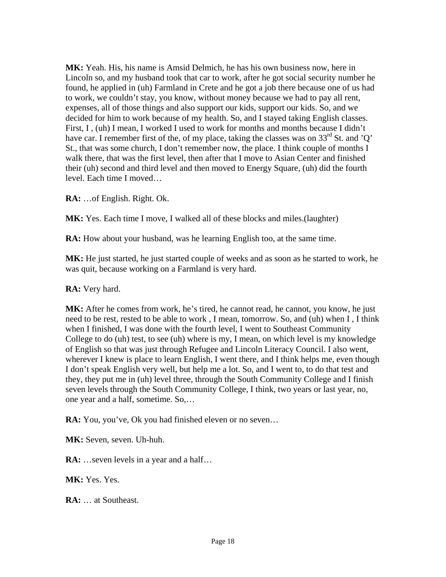**MK:** Yeah. His, his name is Amsid Delmich, he has his own business now, here in Lincoln so, and my husband took that car to work, after he got social security number he found, he applied in (uh) Farmland in Crete and he got a job there because one of us had to work, we couldn't stay, you know, without money because we had to pay all rent, expenses, all of those things and also support our kids, support our kids. So, and we decided for him to work because of my health. So, and I stayed taking English classes. First, I, (uh) I mean, I worked I used to work for months and months because I didn't have car. I remember first of the, of my place, taking the classes was on  $33^{\text{rd}}$  St. and 'Q' St., that was some church, I don't remember now, the place. I think couple of months I walk there, that was the first level, then after that I move to Asian Center and finished their (uh) second and third level and then moved to Energy Square, (uh) did the fourth level. Each time I moved…

**RA:** …of English. Right. Ok.

**MK:** Yes. Each time I move, I walked all of these blocks and miles.(laughter)

**RA:** How about your husband, was he learning English too, at the same time.

**MK:** He just started, he just started couple of weeks and as soon as he started to work, he was quit, because working on a Farmland is very hard.

**RA:** Very hard.

**MK:** After he comes from work, he's tired, he cannot read, he cannot, you know, he just need to be rest, rested to be able to work , I mean, tomorrow. So, and (uh) when I , I think when I finished, I was done with the fourth level, I went to Southeast Community College to do (uh) test, to see (uh) where is my, I mean, on which level is my knowledge of English so that was just through Refugee and Lincoln Literacy Council. I also went, wherever I knew is place to learn English, I went there, and I think helps me, even though I don't speak English very well, but help me a lot. So, and I went to, to do that test and they, they put me in (uh) level three, through the South Community College and I finish seven levels through the South Community College, I think, two years or last year, no, one year and a half, sometime. So,…

**RA:** You, you've, Ok you had finished eleven or no seven…

**MK:** Seven, seven. Uh-huh.

**RA:** …seven levels in a year and a half…

**MK:** Yes. Yes.

**RA:** … at Southeast.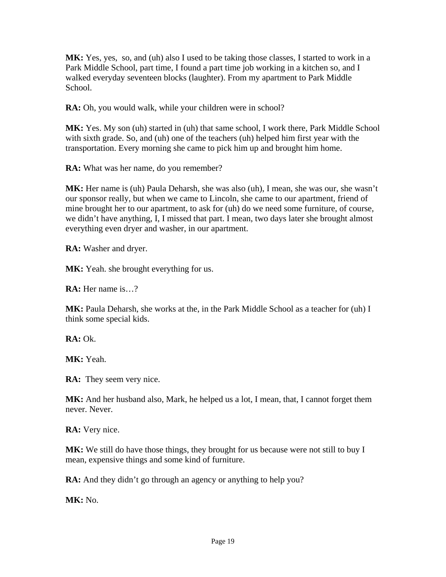**MK:** Yes, yes, so, and (uh) also I used to be taking those classes, I started to work in a Park Middle School, part time, I found a part time job working in a kitchen so, and I walked everyday seventeen blocks (laughter). From my apartment to Park Middle School.

**RA:** Oh, you would walk, while your children were in school?

MK: Yes. My son (uh) started in (uh) that same school, I work there, Park Middle School with sixth grade. So, and (uh) one of the teachers (uh) helped him first year with the transportation. Every morning she came to pick him up and brought him home.

**RA:** What was her name, do you remember?

MK: Her name is (uh) Paula Deharsh, she was also (uh), I mean, she was our, she wasn't our sponsor really, but when we came to Lincoln, she came to our apartment, friend of mine brought her to our apartment, to ask for (uh) do we need some furniture, of course, we didn't have anything, I, I missed that part. I mean, two days later she brought almost everything even dryer and washer, in our apartment.

**RA:** Washer and dryer.

**MK:** Yeah. she brought everything for us.

**RA:** Her name is…?

**MK:** Paula Deharsh, she works at the, in the Park Middle School as a teacher for (uh) I think some special kids.

 $\mathbf{RA}:\Omega$ 

**MK:** Yeah.

**RA:** They seem very nice.

MK: And her husband also, Mark, he helped us a lot, I mean, that, I cannot forget them never. Never.

**RA:** Very nice.

**MK:** We still do have those things, they brought for us because were not still to buy I mean, expensive things and some kind of furniture.

**RA:** And they didn't go through an agency or anything to help you?

**MK:** No.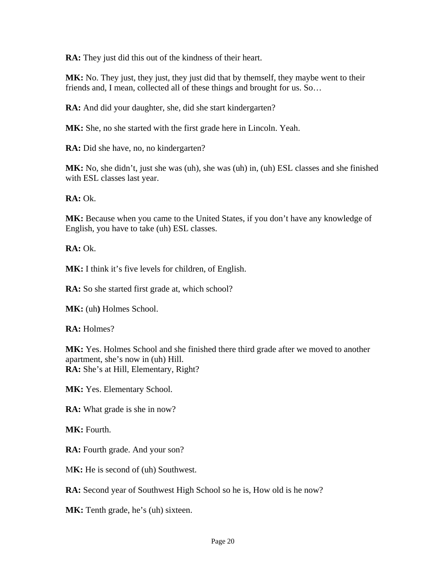**RA:** They just did this out of the kindness of their heart.

**MK:** No. They just, they just, they just did that by themself, they maybe went to their friends and, I mean, collected all of these things and brought for us. So…

**RA:** And did your daughter, she, did she start kindergarten?

**MK:** She, no she started with the first grade here in Lincoln. Yeah.

**RA:** Did she have, no, no kindergarten?

**MK:** No, she didn't, just she was (uh), she was (uh) in, (uh) ESL classes and she finished with ESL classes last year.

**RA:** Ok.

MK: Because when you came to the United States, if you don't have any knowledge of English, you have to take (uh) ESL classes.

**RA:** Ok.

**MK:** I think it's five levels for children, of English.

**RA:** So she started first grade at, which school?

**MK:** (uh) Holmes School.

**RA:** Holmes?

**MK:** Yes. Holmes School and she finished there third grade after we moved to another apartment, she's now in (uh) Hill. **RA:** She's at Hill, Elementary, Right?

MK: Yes. Elementary School.

**RA:** What grade is she in now?

**MK:** Fourth.

**RA:** Fourth grade. And your son?

MK: He is second of (uh) Southwest.

RA: Second year of Southwest High School so he is, How old is he now?

**MK:** Tenth grade, he's (uh) sixteen.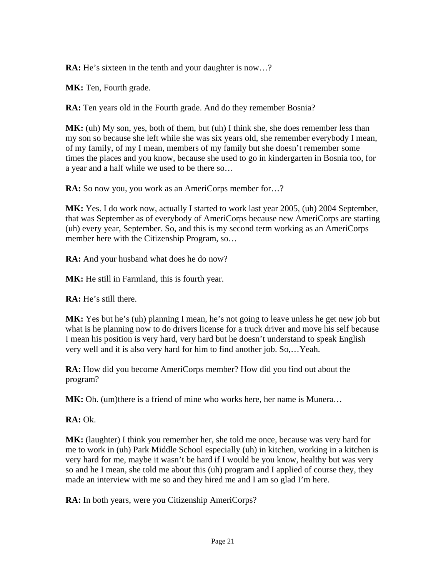**RA:** He's sixteen in the tenth and your daughter is now...?

**MK:** Ten, Fourth grade.

**RA:** Ten years old in the Fourth grade. And do they remember Bosnia?

MK: (uh) My son, yes, both of them, but (uh) I think she, she does remember less than my son so because she left while she was six years old, she remember everybody I mean, of my family, of my I mean, members of my family but she doesn't remember some times the places and you know, because she used to go in kindergarten in Bosnia too, for a year and a half while we used to be there so…

**RA:** So now you, you work as an AmeriCorps member for...?

**MK:** Yes. I do work now, actually I started to work last year 2005, (uh) 2004 September, that was September as of everybody of AmeriCorps because new AmeriCorps are starting (uh) every year, September. So, and this is my second term working as an AmeriCorps member here with the Citizenship Program, so…

**RA:** And your husband what does he do now?

**MK:** He still in Farmland, this is fourth year.

**RA:** He's still there.

**MK:** Yes but he's (uh) planning I mean, he's not going to leave unless he get new job but what is he planning now to do drivers license for a truck driver and move his self because I mean his position is very hard, very hard but he doesn't understand to speak English very well and it is also very hard for him to find another job. So,…Yeah.

**RA:** How did you become AmeriCorps member? How did you find out about the program?

**MK:** Oh. (um)there is a friend of mine who works here, her name is Munera…

**RA:** Ok.

**MK:** (laughter) I think you remember her, she told me once, because was very hard for me to work in (uh) Park Middle School especially (uh) in kitchen, working in a kitchen is very hard for me, maybe it wasn't be hard if I would be you know, healthy but was very so and he I mean, she told me about this (uh) program and I applied of course they, they made an interview with me so and they hired me and I am so glad I'm here.

**RA:** In both years, were you Citizenship AmeriCorps?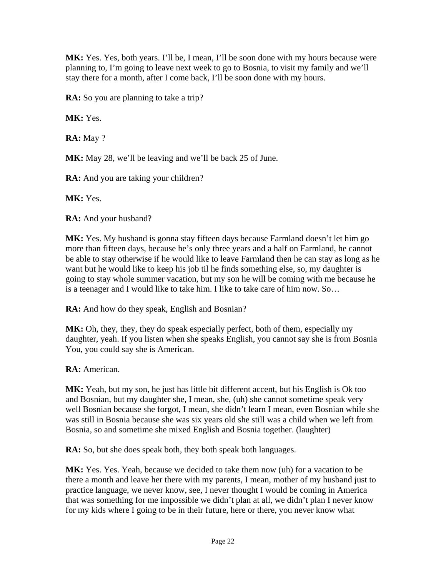**MK:** Yes. Yes, both years. I'll be, I mean, I'll be soon done with my hours because were planning to, I'm going to leave next week to go to Bosnia, to visit my family and we'll stay there for a month, after I come back, I'll be soon done with my hours.

**RA:** So you are planning to take a trip?

**MK:** Yes.

**RA:** May ?

**MK:** May 28, we'll be leaving and we'll be back 25 of June.

**RA:** And you are taking your children?

**MK:** Yes.

**RA:** And your husband?

MK: Yes. My husband is gonna stay fifteen days because Farmland doesn't let him go more than fifteen days, because he's only three years and a half on Farmland, he cannot be able to stay otherwise if he would like to leave Farmland then he can stay as long as he want but he would like to keep his job til he finds something else, so, my daughter is going to stay whole summer vacation, but my son he will be coming with me because he is a teenager and I would like to take him. I like to take care of him now. So…

**RA:** And how do they speak, English and Bosnian?

**MK:** Oh, they, they, they do speak especially perfect, both of them, especially my daughter, yeah. If you listen when she speaks English, you cannot say she is from Bosnia You, you could say she is American.

**RA:** American.

**MK:** Yeah, but my son, he just has little bit different accent, but his English is Ok too and Bosnian, but my daughter she, I mean, she, (uh) she cannot sometime speak very well Bosnian because she forgot, I mean, she didn't learn I mean, even Bosnian while she was still in Bosnia because she was six years old she still was a child when we left from Bosnia, so and sometime she mixed English and Bosnia together. (laughter)

**RA:** So, but she does speak both, they both speak both languages.

**MK:** Yes. Yes. Yeah, because we decided to take them now (uh) for a vacation to be there a month and leave her there with my parents, I mean, mother of my husband just to practice language, we never know, see, I never thought I would be coming in America that was something for me impossible we didn't plan at all, we didn't plan I never know for my kids where I going to be in their future, here or there, you never know what